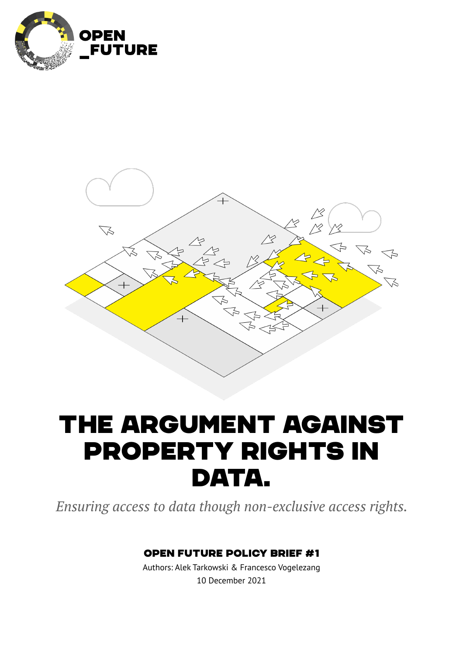



# The argument against property rights in DATA.

*Ensuring access to data though non-exclusive access rights.*

## Open Future Policy brief #1

Authors: Alek Tarkowski & Francesco Vogelezang 10 December 2021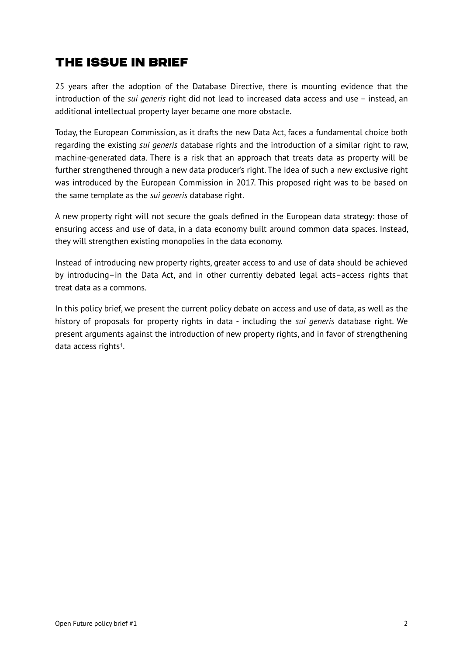## The issue in brief

25 years after the adoption of the Database Directive, there is mounting evidence that the introduction of the *sui generis* right did not lead to increased data access and use – instead, an additional intellectual property layer became one more obstacle.

Today, the European Commission, as it drafts the new Data Act, faces a fundamental choice both regarding the existing *sui generis* database rights and the introduction of a similar right to raw, machine-generated data. There is a risk that an approach that treats data as property will be further strengthened through a new data producer's right. The idea of such a new exclusive right was introduced by the European Commission in 2017. This proposed right was to be based on the same template as the *sui generis* database right.

A new property right will not secure the goals defined in the European data strategy: those of ensuring access and use of data, in a data economy built around common data spaces. Instead, they will strengthen existing monopolies in the data economy.

Instead of introducing new property rights, greater access to and use of data should be achieved by introducing–in the Data Act, and in other currently debated legal acts–access rights that treat data as a commons.

<span id="page-1-0"></span>In this policy brief, we present the current policy debate on access and use of data, as well as the history of proposals for property rights in data - including the *sui generis* database right. We present arguments against the introduction of new property rights, and in favor of strengthening data access rights<sup>1</sup>[.](#page-11-0)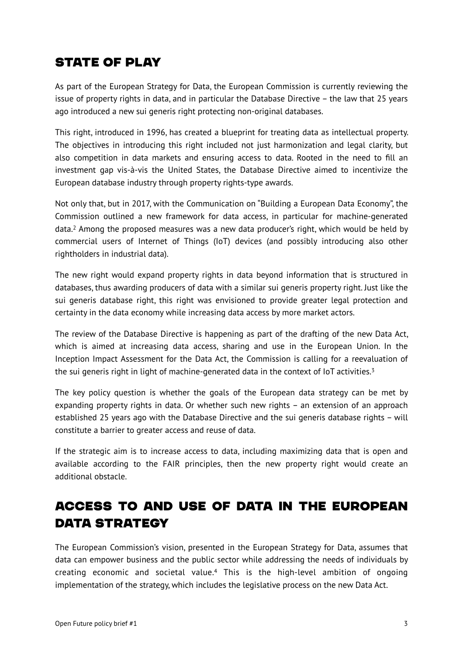## **STATE OF PLAY**

As part of the European Strategy for Data, the European Commission is currently reviewing the issue of property rights in data, and in particular the Database Directive – the law that 25 years ago introduced a new sui generis right protecting non-original databases.

This right, introduced in 1996, has created a blueprint for treating data as intellectual property. The objectives in introducing this right included not just harmonization and legal clarity, but also competition in data markets and ensuring access to data. Rooted in the need to fill an investment gap vis-à-vis the United States, the Database Directive aimed to incentivize the European database industry through property rights-type awards.

<span id="page-2-0"></span>Not only that, but in 2017, with the Communication on "Building a European Data Economy", the Commission outlined a new framework for data access, in particular for machine-generated data.<sup>2</sup>Among the proposed measures was a new data producer's right, which would be held by commercial users of Internet of Things (IoT) devices (and possibly introducing also other rightholders in industrial data).

The new right would expand property rights in data beyond information that is structured in databases, thus awarding producers of data with a similar sui generis property right. Just like the sui generis database right, this right was envisioned to provide greater legal protection and certainty in the data economy while increasing data access by more market actors.

The review of the Database Directive is happening as part of the drafting of the new Data Act, which is aimed at increasing data access, sharing and use in the European Union. In the Inception Impact Assessment for the Data Act, the Commission is calling for a reevaluation of the sui generis right in light of machine-generated data in the context of  $I$ oT activities.<sup>3</sup>

<span id="page-2-1"></span>The key policy question is whether the goals of the European data strategy can be met by expanding property rights in data. Or whether such new rights – an extension of an approach established 25 years ago with the Database Directive and the sui generis database rights – will constitute a barrier to greater access and reuse of data.

If the strategic aim is to increase access to data, including maximizing data that is open and available according to the FAIR principles, then the new property right would create an additional obstacle.

# Access to and use of data in the European data strategy

<span id="page-2-2"></span>The European Commission's vision, presented in the European Strategy for Data, assumes that data can empower business and the public sector while addressing the needs of individuals by creating economic and societal value[.](#page-11-3)<sup>[4](#page-11-3)</sup> This is the high-level ambition of ongoing implementation of the strategy, which includes the legislative process on the new Data Act.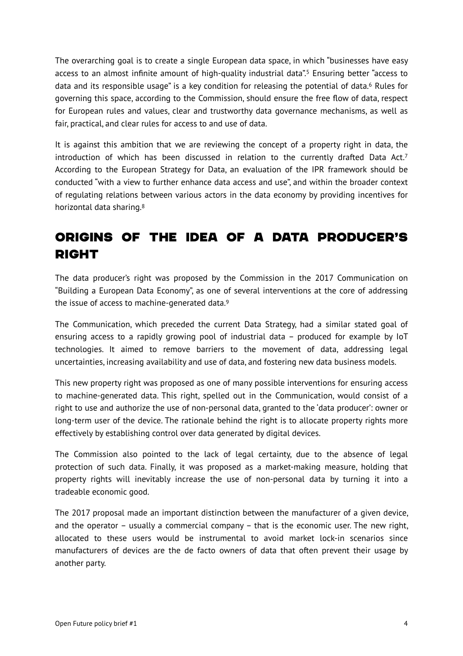<span id="page-3-1"></span><span id="page-3-0"></span>The overarching goal is to create a single European data space, in which "businesses have easy accessto an almost infinite amount of high-quality industrial data".<sup>[5](#page-11-4)</sup> Ensuring better "access to data and its responsible usage" is a key condition for releasing the potential of data[.](#page-11-5)<sup>[6](#page-11-5)</sup> Rules for governing this space, according to the Commission, should ensure the free flow of data, respect for European rules and values, clear and trustworthy data governance mechanisms, as well as fair, practical, and clear rules for access to and use of data.

<span id="page-3-2"></span>It is against this ambition that we are reviewing the concept of a property right in data, the introduction of which has been discussed in relation to the currently drafted Data Act.<sup>7</sup> According to the European Strategy for Data, an evaluation of the IPR framework should be conducted "with a view to further enhance data access and use", and within the broader context of regulating relations between various actors in the data economy by providing incentives for horizontal data sharing[.8](#page-11-7)

# <span id="page-3-3"></span>Origins of the idea of a data producer's **RIGHT**

The data producer's right was proposed by the Commission in the 2017 Communication on "Building a European Data Economy", as one of several interventions at the core of addressing the issue of access to machine-generated data[.9](#page-11-8)

<span id="page-3-4"></span>The Communication, which preceded the current Data Strategy, had a similar stated goal of ensuring access to a rapidly growing pool of industrial data – produced for example by IoT technologies. It aimed to remove barriers to the movement of data, addressing legal uncertainties, increasing availability and use of data, and fostering new data business models.

This new property right was proposed as one of many possible interventions for ensuring access to machine-generated data. This right, spelled out in the Communication, would consist of a right to use and authorize the use of non-personal data, granted to the 'data producer': owner or long-term user of the device. The rationale behind the right is to allocate property rights more effectively by establishing control over data generated by digital devices.

The Commission also pointed to the lack of legal certainty, due to the absence of legal protection of such data. Finally, it was proposed as a market-making measure, holding that property rights will inevitably increase the use of non-personal data by turning it into a tradeable economic good.

The 2017 proposal made an important distinction between the manufacturer of a given device, and the operator – usually a commercial company – that is the economic user. The new right, allocated to these users would be instrumental to avoid market lock-in scenarios since manufacturers of devices are the de facto owners of data that often prevent their usage by another party.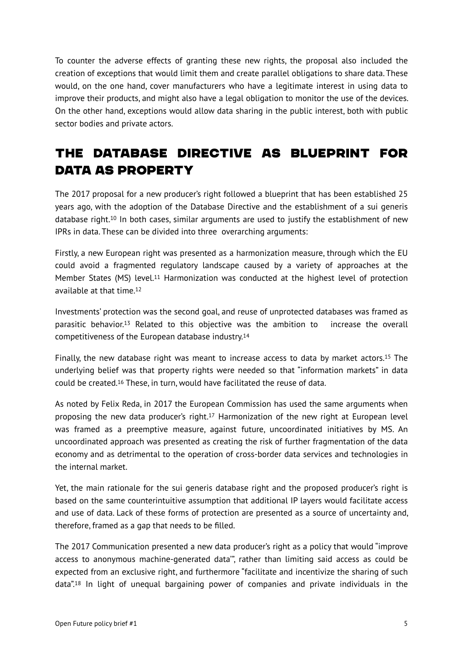To counter the adverse effects of granting these new rights, the proposal also included the creation of exceptions that would limit them and create parallel obligations to share data. These would, on the one hand, cover manufacturers who have a legitimate interest in using data to improve their products, and might also have a legal obligation to monitor the use of the devices. On the other hand, exceptions would allow data sharing in the public interest, both with public sector bodies and private actors.

# The Database Directive as blueprint for data as property

<span id="page-4-0"></span>The 2017 proposal for a new producer's right followed a blueprint that has been established 25 years ago, with the adoption of the Database Directive and the establishment of a sui generis databaseright.<sup>[10](#page-11-9)</sup> In both cases, similar arguments are used to justify the establishment of new IPRs in data. These can be divided into three overarching arguments:

<span id="page-4-1"></span>Firstly, a new European right was presented as a harmonization measure, through which the EU could avoid a fragmented regulatory landscape caused by a variety of approaches at the Member States (MS) level[.](#page-11-10)<sup>[11](#page-11-10)</sup> Harmonization was conducted at the highest level of protection available at that time.[12](#page-11-11)

<span id="page-4-3"></span><span id="page-4-2"></span>Investments' protection was the second goal, and reuse of unprotected databases was framed as parasitic behavior[.](#page-11-12)<sup>[13](#page-11-12)</sup> Related to this objective was the ambition to increase the overall competitiveness of the European database industry[.14](#page-11-13)

<span id="page-4-5"></span><span id="page-4-4"></span>Finally, the new database right was meant to increase access to data by market actors[.](#page-11-14)<sup>[15](#page-11-14)</sup> The underlying belief was that property rights were needed so that "information markets" in data could be created[.](#page-11-15)<sup>[16](#page-11-15)</sup> These, in turn, would have facilitated the reuse of data.

<span id="page-4-7"></span><span id="page-4-6"></span>As noted by Felix Reda, in 2017 the European Commission has used the same arguments when proposing the new data producer's right[.](#page-11-16)<sup>[17](#page-11-16)</sup> Harmonization of the new right at European level was framed as a preemptive measure, against future, uncoordinated initiatives by MS. An uncoordinated approach was presented as creating the risk of further fragmentation of the data economy and as detrimental to the operation of cross-border data services and technologies in the internal market.

Yet, the main rationale for the sui generis database right and the proposed producer's right is based on the same counterintuitive assumption that additional IP layers would facilitate access and use of data. Lack of these forms of protection are presented as a source of uncertainty and, therefore, framed as a gap that needs to be filled.

<span id="page-4-8"></span>The 2017 Communication presented a new data producer's right as a policy that would "improve access to anonymous machine-generated data'", rather than limiting said access as could be expected from an exclusive right, and furthermore "facilitate and incentivize the sharing of such data"[.](#page-11-17)<sup>[18](#page-11-17)</sup> In light of unequal bargaining power of companies and private individuals in the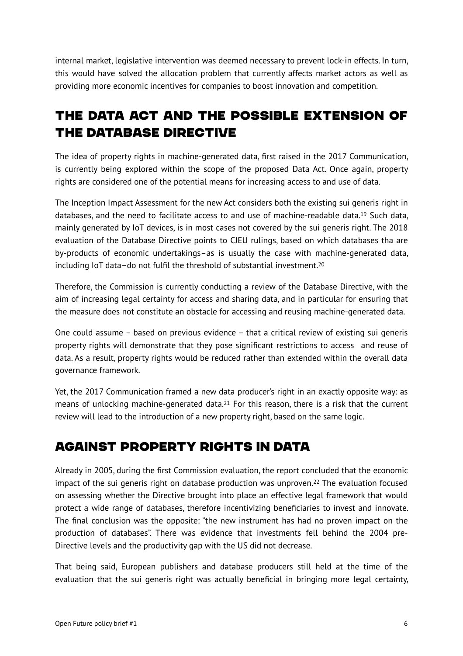internal market, legislative intervention was deemed necessary to prevent lock-in effects. In turn, this would have solved the allocation problem that currently affects market actors as well as providing more economic incentives for companies to boost innovation and competition.

# The Data Act and the possible extension of the Database Directive

The idea of property rights in machine-generated data, first raised in the 2017 Communication, is currently being explored within the scope of the proposed Data Act. Once again, property rights are considered one of the potential means for increasing access to and use of data.

<span id="page-5-0"></span>The Inception Impact Assessment for the new Act considers both the existing sui generis right in databases, and the need to facilitate access to and use of machine-readable data[.](#page-11-18)<sup>[19](#page-11-18)</sup> Such data, mainly generated by IoT devices, is in most cases not covered by the sui generis right. The 2018 evaluation of the Database Directive points to CJEU rulings, based on which databases tha are by-products of economic undertakings–as is usually the case with machine-generated data, including IoT data–do not fulfil the threshold of substantial investment.[20](#page-11-19)

<span id="page-5-1"></span>Therefore, the Commission is currently conducting a review of the Database Directive, with the aim of increasing legal certainty for access and sharing data, and in particular for ensuring that the measure does not constitute an obstacle for accessing and reusing machine-generated data.

One could assume – based on previous evidence – that a critical review of existing sui generis property rights will demonstrate that they pose significant restrictions to access and reuse of data. As a result, property rights would be reduced rather than extended within the overall data governance framework.

<span id="page-5-2"></span>Yet, the 2017 Communication framed a new data producer's right in an exactly opposite way: as meansof unlocking machine-generated data. $21$  For this reason, there is a risk that the current review will lead to the introduction of a new property right, based on the same logic.

## Against property rights in data

<span id="page-5-3"></span>Already in 2005, during the first Commission evaluation, the report concluded that the economic impactof the sui generis right on database production was unproven.<sup>[22](#page-11-21)</sup> The evaluation focused on assessing whether the Directive brought into place an effective legal framework that would protect a wide range of databases, therefore incentivizing beneficiaries to invest and innovate. The final conclusion was the opposite: "the new instrument has had no proven impact on the production of databases". There was evidence that investments fell behind the 2004 pre-Directive levels and the productivity gap with the US did not decrease.

That being said, European publishers and database producers still held at the time of the evaluation that the sui generis right was actually beneficial in bringing more legal certainty,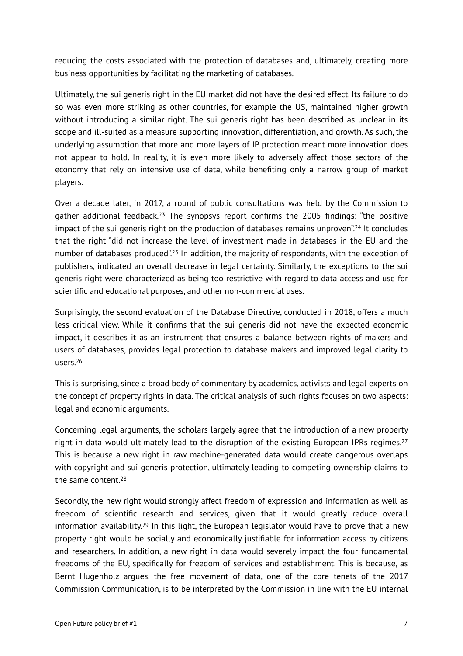reducing the costs associated with the protection of databases and, ultimately, creating more business opportunities by facilitating the marketing of databases.

Ultimately, the sui generis right in the EU market did not have the desired effect. Its failure to do so was even more striking as other countries, for example the US, maintained higher growth without introducing a similar right. The sui generis right has been described as unclear in its scope and ill-suited as a measure supporting innovation, differentiation, and growth. As such, the underlying assumption that more and more layers of IP protection meant more innovation does not appear to hold. In reality, it is even more likely to adversely affect those sectors of the economy that rely on intensive use of data, while benefiting only a narrow group of market players.

<span id="page-6-2"></span><span id="page-6-1"></span><span id="page-6-0"></span>Over a decade later, in 2017, a round of public consultations was held by the Commission to gather additional feedback[.](#page-12-0)<sup>[23](#page-12-0)</sup> The synopsys report confirms the 2005 findings: "the positive impact of the sui generis right on the production of databases remains unproven"[.](#page-12-1)<sup>[24](#page-12-1)</sup> It concludes that the right "did not increase the level of investment made in databases in the EU and the number of databases produced"[.](#page-12-2)<sup>[25](#page-12-2)</sup> In addition, the majority of respondents, with the exception of publishers, indicated an overall decrease in legal certainty. Similarly, the exceptions to the sui generis right were characterized as being too restrictive with regard to data access and use for scientific and educational purposes, and other non-commercial uses.

Surprisingly, the second evaluation of the Database Directive, conducted in 2018, offers a much less critical view. While it confirms that the sui generis did not have the expected economic impact, it describes it as an instrument that ensures a balance between rights of makers and users of databases, provides legal protection to database makers and improved legal clarity to users.[26](#page-12-3)

<span id="page-6-3"></span>This is surprising, since a broad body of commentary by academics, activists and legal experts on the concept of property rights in data. The critical analysis of such rights focuses on two aspects: legal and economic arguments.

<span id="page-6-4"></span>Concerning legal arguments, the scholars largely agree that the introduction of a new property right in data would ultimately lead to the disruption of the existing European IPRs regimes.<sup>27</sup> This is because a new right in raw machine-generated data would create dangerous overlaps with copyright and sui generis protection, ultimately leading to competing ownership claims to the same content.[28](#page-12-5)

<span id="page-6-6"></span><span id="page-6-5"></span>Secondly, the new right would strongly affect freedom of expression and information as well as freedom of scientific research and services, given that it would greatly reduce overall informationavailability.<sup>[29](#page-12-6)</sup> In this light, the European legislator would have to prove that a new property right would be socially and economically justifiable for information access by citizens and researchers. In addition, a new right in data would severely impact the four fundamental freedoms of the EU, specifically for freedom of services and establishment. This is because, as Bernt Hugenholz argues, the free movement of data, one of the core tenets of the 2017 Commission Communication, is to be interpreted by the Commission in line with the EU internal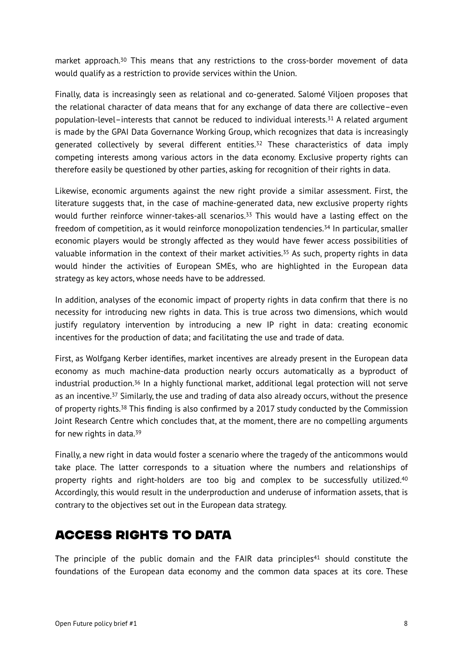<span id="page-7-0"></span>marketapproach. $30$  This means that any restrictions to the cross-border movement of data would qualify as a restriction to provide services within the Union.

<span id="page-7-1"></span>Finally, data is increasingly seen as relational and co-generated. Salomé Viljoen proposes that the relational character of data means that for any exchange of data there are collective–even population-level–intereststhat cannot be reduced to individual interests.<sup>[31](#page-12-8)</sup> A related argument is made by the GPAI Data Governance Working Group, which recognizes that data is increasingly generated collectively by several different entities[.](#page-12-9)<sup>[32](#page-12-9)</sup> These characteristics of data imply competing interests among various actors in the data economy. Exclusive property rights can therefore easily be questioned by other parties, asking for recognition of their rights in data.

<span id="page-7-4"></span><span id="page-7-3"></span><span id="page-7-2"></span>Likewise, economic arguments against the new right provide a similar assessment. First, the literature suggests that, in the case of machine-generated data, new exclusive property rights wouldfurther reinforce winner-takes-all scenarios.<sup>[33](#page-12-10)</sup> This would have a lasting effect on the freedom of competition, as it would reinforce monopolization tendencies[.](#page-12-11)<sup>[34](#page-12-11)</sup> In particular, smaller economic players would be strongly affected as they would have fewer access possibilities of valuableinformation in the context of their market activities.<sup>[35](#page-12-12)</sup> As such, property rights in data would hinder the activities of European SMEs, who are highlighted in the European data strategy as key actors, whose needs have to be addressed.

<span id="page-7-5"></span>In addition, analyses of the economic impact of property rights in data confirm that there is no necessity for introducing new rights in data. This is true across two dimensions, which would justify regulatory intervention by introducing a new IP right in data: creating economic incentives for the production of data; and facilitating the use and trade of data.

<span id="page-7-7"></span><span id="page-7-6"></span>First, as Wolfgang Kerber identifies, market incentives are already present in the European data economy as much machine-data production nearly occurs automatically as a byproduct of industrial production[.](#page-12-13)<sup>[36](#page-12-13)</sup> In a highly functional market, additional legal protection will not serve asan incentive.<sup>[37](#page-12-14)</sup> Similarly, the use and trading of data also already occurs, without the presence of property rights[.](#page-12-15)<sup>[38](#page-12-15)</sup> This finding is also confirmed by a 2017 study conducted by the Commission Joint Research Centre which concludes that, at the moment, there are no compelling arguments for new rights in data.<sup>39</sup>

<span id="page-7-10"></span><span id="page-7-9"></span><span id="page-7-8"></span>Finally, a new right in data would foster a scenario where the tragedy of the anticommons would take place. The latter corresponds to a situation where the numbers and relationships of property rights and right-holders are too big and complex to be successfully utilized[.40](#page-12-17) Accordingly, this would result in the underproduction and underuse of information assets, that is contrary to the objectives set out in the European data strategy.

## Access rights to data

<span id="page-7-11"></span>The principle of the public domain and the FAIR data principle[s](#page-12-18)<sup>[41](#page-12-18)</sup> should constitute the foundations of the European data economy and the common data spaces at its core. These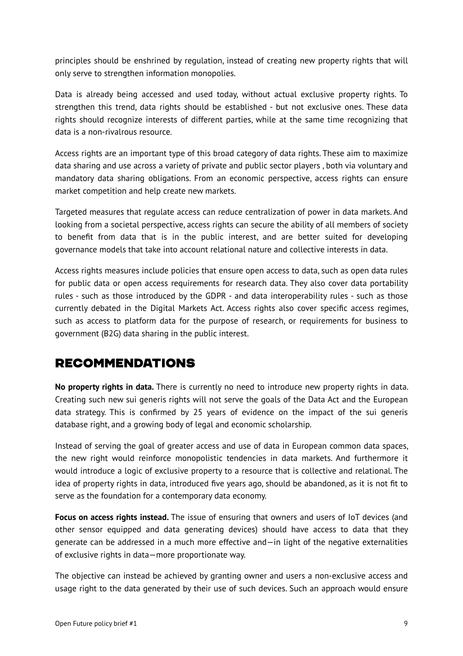principles should be enshrined by regulation, instead of creating new property rights that will only serve to strengthen information monopolies.

Data is already being accessed and used today, without actual exclusive property rights. To strengthen this trend, data rights should be established - but not exclusive ones. These data rights should recognize interests of different parties, while at the same time recognizing that data is a non-rivalrous resource.

Access rights are an important type of this broad category of data rights. These aim to maximize data sharing and use across a variety of private and public sector players , both via voluntary and mandatory data sharing obligations. From an economic perspective, access rights can ensure market competition and help create new markets.

Targeted measures that regulate access can reduce centralization of power in data markets. And looking from a societal perspective, access rights can secure the ability of all members of society to benefit from data that is in the public interest, and are better suited for developing governance models that take into account relational nature and collective interests in data.

Access rights measures include policies that ensure open access to data, such as open data rules for public data or open access requirements for research data. They also cover data portability rules - such as those introduced by the GDPR - and data interoperability rules - such as those currently debated in the Digital Markets Act. Access rights also cover specific access regimes, such as access to platform data for the purpose of research, or requirements for business to government (B2G) data sharing in the public interest.

#### **RECOMMENDATIONS**

**No property rights in data.** There is currently no need to introduce new property rights in data. Creating such new sui generis rights will not serve the goals of the Data Act and the European data strategy. This is confirmed by 25 years of evidence on the impact of the sui generis database right, and a growing body of legal and economic scholarship.

Instead of serving the goal of greater access and use of data in European common data spaces, the new right would reinforce monopolistic tendencies in data markets. And furthermore it would introduce a logic of exclusive property to a resource that is collective and relational. The idea of property rights in data, introduced five years ago, should be abandoned, as it is not fit to serve as the foundation for a contemporary data economy.

**Focus on access rights instead.** The issue of ensuring that owners and users of IoT devices (and other sensor equipped and data generating devices) should have access to data that they generate can be addressed in a much more effective and—in light of the negative externalities of exclusive rights in data—more proportionate way.

The objective can instead be achieved by granting owner and users a non-exclusive access and usage right to the data generated by their use of such devices. Such an approach would ensure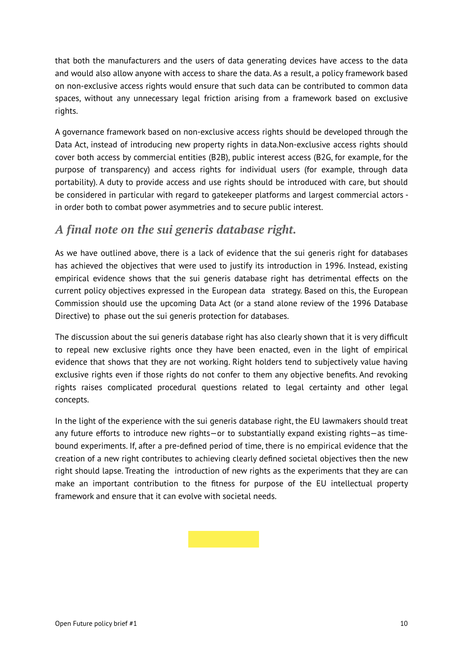that both the manufacturers and the users of data generating devices have access to the data and would also allow anyone with access to share the data. As a result, a policy framework based on non-exclusive access rights would ensure that such data can be contributed to common data spaces, without any unnecessary legal friction arising from a framework based on exclusive rights.

A governance framework based on non-exclusive access rights should be developed through the Data Act, instead of introducing new property rights in data.Non-exclusive access rights should cover both access by commercial entities (B2B), public interest access (B2G, for example, for the purpose of transparency) and access rights for individual users (for example, through data portability). A duty to provide access and use rights should be introduced with care, but should be considered in particular with regard to gatekeeper platforms and largest commercial actors in order both to combat power asymmetries and to secure public interest.

## *A final note on the sui generis database right.*

As we have outlined above, there is a lack of evidence that the sui generis right for databases has achieved the objectives that were used to justify its introduction in 1996. Instead, existing empirical evidence shows that the sui generis database right has detrimental effects on the current policy objectives expressed in the European data strategy. Based on this, the European Commission should use the upcoming Data Act (or a stand alone review of the 1996 Database Directive) to phase out the sui generis protection for databases.

The discussion about the sui generis database right has also clearly shown that it is very difficult to repeal new exclusive rights once they have been enacted, even in the light of empirical evidence that shows that they are not working. Right holders tend to subjectively value having exclusive rights even if those rights do not confer to them any objective benefits. And revoking rights raises complicated procedural questions related to legal certainty and other legal concepts.

In the light of the experience with the sui generis database right, the EU lawmakers should treat any future efforts to introduce new rights—or to substantially expand existing rights—as timebound experiments. If, after a pre-defined period of time, there is no empirical evidence that the creation of a new right contributes to achieving clearly defined societal objectives then the new right should lapse. Treating the introduction of new rights as the experiments that they are can make an important contribution to the fitness for purpose of the EU intellectual property framework and ensure that it can evolve with societal needs.

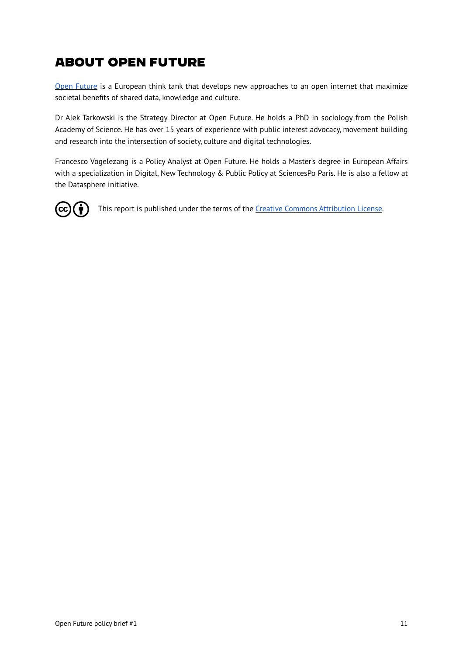## About Open Future

[Open Future](https://www.openfuture.eu) is a European think tank that develops new approaches to an open internet that maximize societal benefits of shared data, knowledge and culture.

Dr Alek Tarkowski is the Strategy Director at Open Future. He holds a PhD in sociology from the Polish Academy of Science. He has over 15 years of experience with public interest advocacy, movement building and research into the intersection of society, culture and digital technologies.

Francesco Vogelezang is a Policy Analyst at Open Future. He holds a Master's degree in European Affairs with a specialization in Digital, New Technology & Public Policy at SciencesPo Paris. He is also a fellow at the Datasphere initiative.



This report is published under the terms of the [Creative Commons Attribution License](https://creativecommons.org/licenses/by/4.0/).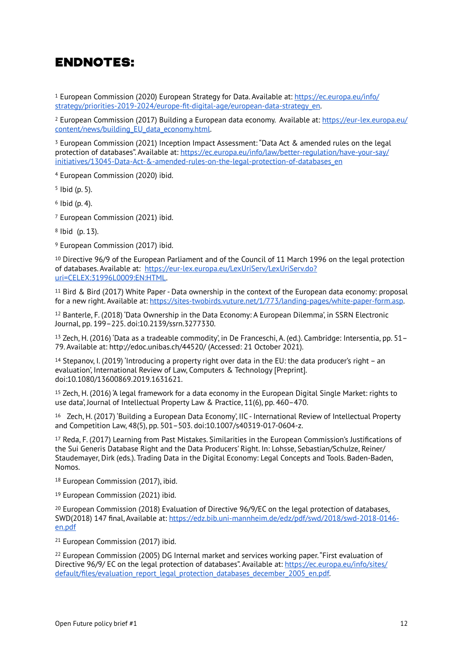## Endnotes:

<span id="page-11-0"></span><sup>1</sup> [European Commission \(2020\) European Strategy for Data. Available at: https://ec.europa.eu/info/](https://ec.europa.eu/info/strategy/priorities-2019-2024/europe-fit-digital-age/european-data-strategy_en) [strategy/priorities-2019-2024/europe-fit-digital-age/european-data-strategy\\_en.](https://ec.europa.eu/info/strategy/priorities-2019-2024/europe-fit-digital-age/european-data-strategy_en)

<span id="page-11-1"></span> European Commission (2017) Building a European data economy. Available at: [https://eur-lex.europa.eu/](https://eur-lex.europa.eu/content/news/building_EU_data_economy.html) [2](#page-2-0) [content/news/building\\_EU\\_data\\_economy.html.](https://eur-lex.europa.eu/content/news/building_EU_data_economy.html)

<span id="page-11-2"></span><sup>[3](#page-2-1)</sup> European Commission (2021) Inception Impact Assessment: "Data Act & amended rules on the legal [protection of databases". Available at: https://ec.europa.eu/info/law/better-regulation/have-your-say/](https://ec.europa.eu/info/law/better-regulation/have-your-say/initiatives/13045-Data-Act-&-amended-rules-on-the-legal-protection-of-databases_en) [initiatives/13045-Data-Act-&-amended-rules-on-the-legal-protection-of-databases\\_en](https://ec.europa.eu/info/law/better-regulation/have-your-say/initiatives/13045-Data-Act-&-amended-rules-on-the-legal-protection-of-databases_en)

<span id="page-11-3"></span><sup>[4](#page-2-2)</sup> European Commission (2020) ibid.

<span id="page-11-4"></span> $5$  Ibid (p. 5).

<span id="page-11-5"></span> $6$  Ibid (p. 4).

<span id="page-11-6"></span><sup>[7](#page-3-2)</sup> European Commission (2021) ibid.

<span id="page-11-7"></span> $8$  lbid (p. 13).

<span id="page-11-8"></span><sup>[9](#page-3-4)</sup> European Commission (2017) ibid.

<span id="page-11-9"></span> $10$  Directive 96/9 of the European Parliament and of the Council of 11 March 1996 on the legal protection [of databases. Available at: https://eur-lex.europa.eu/LexUriServ/LexUriServ.do?](https://eur-lex.europa.eu/LexUriServ/LexUriServ.do?uri=CELEX:31996L0009:EN:HTML) [uri=CELEX:31996L0009:EN:HTML](https://eur-lex.europa.eu/LexUriServ/LexUriServ.do?uri=CELEX:31996L0009:EN:HTML).

<span id="page-11-10"></span><sup>[11](#page-4-1)</sup> Bird & Bird (2017) White Paper - Data ownership in the context of the European data economy: proposal for a new right. Available at: <https://sites-twobirds.vuture.net/1/773/landing-pages/white-paper-form.asp>.

<span id="page-11-11"></span><sup>[12](#page-4-2)</sup> Banterle, F. (2018) 'Data Ownership in the Data Economy: A European Dilemma', in SSRN Electronic Journal, pp. 199–225. doi:10.2139/ssrn.3277330.

<span id="page-11-12"></span>[13](#page-4-3) Zech, H. (2016) 'Data as a tradeable commodity', in De Franceschi, A. (ed.). Cambridge: Intersentia, pp. 51– 79. Available at: http://edoc.unibas.ch/44520/ (Accessed: 21 October 2021).

<span id="page-11-13"></span><sup>[14](#page-4-4)</sup> Stepanov, I. (2019) 'Introducing a property right over data in the EU: the data producer's right – an evaluation', International Review of Law, Computers & Technology [Preprint]. doi:10.1080/13600869.2019.1631621.

<span id="page-11-14"></span><sup>[15](#page-4-5)</sup> Zech, H. (2016) 'A legal framework for a data economy in the European Digital Single Market: rights to use data', Journal of Intellectual Property Law & Practice, 11(6), pp. 460–470.

<span id="page-11-15"></span><sup>[16](#page-4-6)</sup> Zech, H. (2017) 'Building a European Data Economy', IIC - International Review of Intellectual Property and Competition Law, 48(5), pp. 501–503. doi:10.1007/s40319-017-0604-z.

<span id="page-11-16"></span><sup>[17](#page-4-7)</sup> Reda, F. (2017) Learning from Past Mistakes. Similarities in the European Commission's Justifications of the Sui Generis Database Right and the Data Producers' Right. In: Lohsse, Sebastian/Schulze, Reiner/ Staudemayer, Dirk (eds.). Trading Data in the Digital Economy: Legal Concepts and Tools. Baden-Baden, Nomos.

<span id="page-11-17"></span>[18](#page-4-8) European Commission (2017), ibid.

<span id="page-11-18"></span><sup>[19](#page-5-0)</sup> European Commission (2021) ibid.

<span id="page-11-19"></span><sup>[20](#page-5-1)</sup> European Commission (2018) Evaluation of Directive 96/9/EC on the legal protection of databases, SWD(2018) 147 final, Available at: [https://edz.bib.uni-mannheim.de/edz/pdf/swd/2018/swd-2018-0146](https://edz.bib.uni-mannheim.de/edz/pdf/swd/2018/swd-2018-0146-en.pdf) [en.pdf](https://edz.bib.uni-mannheim.de/edz/pdf/swd/2018/swd-2018-0146-en.pdf)

<span id="page-11-20"></span><sup>[21](#page-5-2)</sup> European Commission (2017) ibid.

<span id="page-11-21"></span><sup>[22](#page-5-3)</sup> European Commission (2005) DG Internal market and services working paper. "First evaluation of [Directive 96/9/ EC on the legal protection of databases". Available at: https://ec.europa.eu/info/sites/](https://ec.europa.eu/info/sites/default/files/evaluation_report_legal_protection_databases_december_2005_en.pdf) [default/files/evaluation\\_report\\_legal\\_protection\\_databases\\_december\\_2005\\_en.pdf](https://ec.europa.eu/info/sites/default/files/evaluation_report_legal_protection_databases_december_2005_en.pdf).